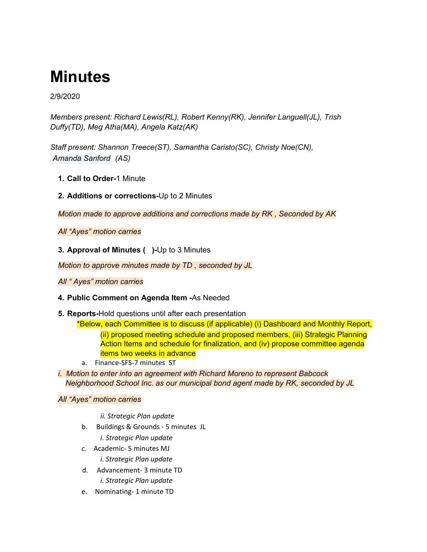# **Minutes**

## 2/9/2020

*Members present: Richard Lewis(RL), Robert Kenny(RK), Jennifer Languell(JL), Trish Duffy(TD), Meg Atha(MA), Angela Katz(AK)*

*Staff present: Shannon Treece(ST), Samantha Caristo(SC), Christy Noe(CN), Amanda Sanford (AS)*

- **1. Call to Order-**1 Minute
- **2. Additions or corrections-**Up to 2 Minutes

*Motion made to approve additions and corrections made by RK , Seconded by AK*

*All "Ayes" motion carries*

**3. Approval of Minutes ( )-**Up to 3 Minutes

*Motion to approve minutes made by TD , seconded by JL*

*All " Ayes" motion carries*

## **4. Public Comment on Agenda Item -**As Needed

**5. Reports-**Hold questions until after each presentation

\*Below, each Committee is to discuss (if applicable) (i) Dashboard and Monthly Report, (ii) proposed meeting schedule and proposed members, (iii) Strategic Planning Action Items and schedule for finalization, and (iv) propose committee agenda items two weeks in advance

- a. Finance-SFS-7 minutes ST
- *i. Motion to enter into an agreement with Richard Moreno to represent Babcock Neighborhood School Inc. as our municipal bond agent made by RK, seconded by JL*

*All "Ayes" motion carries*

*ii. Strategic Plan update*

- b. Buildings & Grounds 5 minutes JL
	- *i. Strategic Plan update*
- *c.* Academic- 5 minutes MJ
	- *i. Strategic Plan update*
- d. Advancement- 3 minute TD *i. Strategic Plan update*
- e. Nominating- 1 minute TD